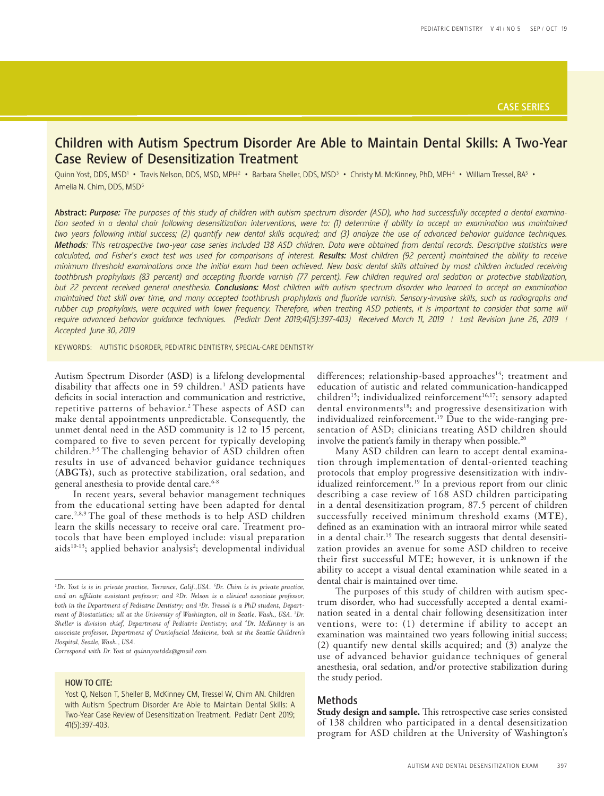# Children with Autism Spectrum Disorder Are Able to Maintain Dental Skills: A Two-Year Case Review of Desensitization Treatment

Quinn Yost, DDS, MSD<sup>1</sup> • Travis Nelson, DDS, MSD, MPH<sup>2</sup> • Barbara Sheller, DDS, MSD<sup>3</sup> • Christy M. McKinney, PhD, MPH<sup>4</sup> • William Tressel, BA<sup>5</sup> • Amelia N. Chim, DDS, MSD6

Abstract: *Purpose: The purposes of this study of children with autism spectrum disorder (ASD), who had successfully accepted a dental examination seated in a dental chair following desensitization interventions, were to: (1) determine if ability to accept an examination was maintained two years following initial success; (2) quantify new dental skills acquired; and (3) analyze the use of advanced behavior guidance techniques. Methods: This retrospective two-year case series included 138 ASD children. Data were obtained from dental records. Descriptive statistics were* calculated, and Fisher's exact test was used for comparisons of interest. Results: Most children (92 percent) maintained the ability to receive *minimum threshold examinations once the initial exam had been achieved. New basic dental skills attained by most children included receiving toothbrush prophylaxis (83 percent) and accepting fluoride varnish (77 percent). Few children required oral sedation or protective stabilization, but 22 percent received general anesthesia. Conclusions: Most children with autism spectrum disorder who learned to accept an examination maintained that skill over time, and many accepted toothbrush prophylaxis and fluoride varnish. Sensory-invasive skills, such as radiographs and rubber cup prophylaxis, were acquired with lower frequency. Therefore, when treating ASD patients, it is important to consider that some will require advanced behavior guidance techniques. (Pediatr Dent 2019;41(5):397-403) Received March 11, 2019 | Last Revision June 26, 2019 | Accepted June 30, 2019*

KEYWORDS: AUTISTIC DISORDER, PEDIATRIC DENTISTRY, SPECIAL-CARE DENTISTRY

Autism Spectrum Disorder (**ASD**) is a lifelong developmental disability that affects one in 59 children.<sup>1</sup> ASD patients have deficits in social interaction and communication and restrictive, repetitive patterns of behavior.<sup>2</sup> These aspects of ASD can make dental appointments unpredictable. Consequently, the unmet dental need in the ASD community is 12 to 15 percent, compared to five to seven percent for typically developing children.3-5 The challenging behavior of ASD children often results in use of advanced behavior guidance techniques (**ABGTs**), such as protective stabilization, oral sedation, and general anesthesia to provide dental care.<sup>6-8</sup>

In recent years, several behavior management techniques from the educational setting have been adapted for dental care.2,8,9 The goal of these methods is to help ASD children learn the skills necessary to receive oral care. Treatment protocols that have been employed include: visual preparation aids<sup>10-13</sup>; applied behavior analysis<sup>2</sup>; developmental individual

*Correspond with Dr. Yost at quinnyostdds@gmail.com*

## HOW TO CITE:

differences; relationship-based approaches<sup>14</sup>; treatment and education of autistic and related communication-handicapped children<sup>15</sup>; individualized reinforcement<sup>16,17</sup>; sensory adapted dental environments<sup>18</sup>; and progressive desensitization with individualized reinforcement.<sup>19</sup> Due to the wide-ranging presentation of ASD; clinicians treating ASD children should involve the patient's family in therapy when possible.<sup>20</sup>

Many ASD children can learn to accept dental examination through implementation of dental-oriented teaching protocols that employ progressive desensitization with individualized reinforcement.<sup>19</sup> In a previous report from our clinic describing a case review of 168 ASD children participating in a dental desensitization program, 87.5 percent of children successfully received minimum threshold exams (**MTE**), defined as an examination with an intraoral mirror while seated in a dental chair.<sup>19</sup> The research suggests that dental desensitization provides an avenue for some ASD children to receive their first successful MTE; however, it is unknown if the ability to accept a visual dental examination while seated in a dental chair is maintained over time.

The purposes of this study of children with autism spectrum disorder, who had successfully accepted a dental examination seated in a dental chair following desensitization inter ventions, were to: (1) determine if ability to accept an examination was maintained two years following initial success; (2) quantify new dental skills acquired; and (3) analyze the use of advanced behavior guidance techniques of general anesthesia, oral sedation, and/or protective stabilization during the study period.

## Methods

**Study design and sample.** This retrospective case series consisted of 138 children who participated in a dental desensitization program for ASD children at the University of Washington's

*<sup>1</sup> Dr. Yost is is in private practice, Torrance, Calif.,USA. 6 Dr. Chim is in private practice, and an affiliate assistant professor; and 2Dr. Nelson is a clinical associate professor, both in the Department of Pediatric Dentistry; and 5 Dr. Tressel is a PhD student, Department of Biostatistics; all at the University of Washington, all in Seatle, Wash., USA. <sup>3</sup> Dr. Sheller is division chief, Department of Pediatric Dentistry; and <sup>4</sup> Dr. McKinney is an associate professor, Department of Craniofacial Medicine, both at the Seattle Children's Hospital, Seatle, Wash., USA.*

Yost Q, Nelson T, Sheller B, McKinney CM, Tressel W, Chim AN. Children with Autism Spectrum Disorder Are Able to Maintain Dental Skills: A Two-Year Case Review of Desensitization Treatment. Pediatr Dent 2019; 41(5):397-403.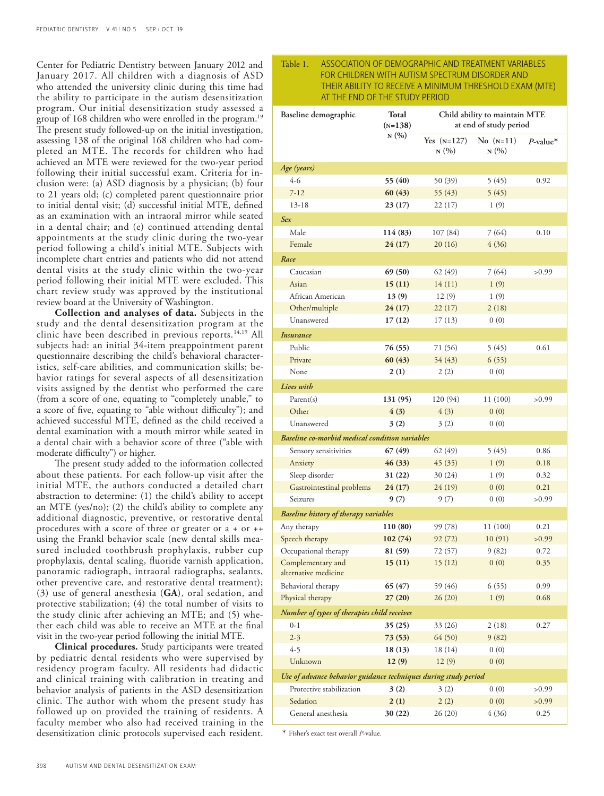Center for Pediatric Dentistry between January 2012 and January 2017. All children with a diagnosis of ASD who attended the university clinic during this time had the ability to participate in the autism desensitization program. Our initial desensitization study assessed a group of 168 children who were enrolled in the program.19 The present study followed-up on the initial investigation, assessing 138 of the original 168 children who had completed an MTE. The records for children who had achieved an MTE were reviewed for the two-year period following their initial successful exam. Criteria for inclusion were: (a) ASD diagnosis by a physician; (b) four to 21 years old; (c) completed parent questionnaire prior to initial dental visit; (d) successful initial MTE, defined as an examination with an intraoral mirror while seated in a dental chair; and (e) continued attending dental appointments at the study clinic during the two-year period following a child's initial MTE. Subjects with incomplete chart entries and patients who did not attend dental visits at the study clinic within the two-year period following their initial MTE were excluded. This chart review study was approved by the institutional review board at the University of Washington.

**Collection and analyses of data.** Subjects in the study and the dental desensitization program at the clinic have been described in previous reports.<sup>14,19</sup> All subjects had: an initial 34-item preappointment parent questionnaire describing the child's behavioral characteristics, self-care abilities, and communication skills; behavior ratings for several aspects of all desensitization visits assigned by the dentist who performed the care (from a score of one, equating to "completely unable," to a score of five, equating to "able without difficulty"); and achieved successful MTE, defined as the child received a dental examination with a mouth mirror while seated in a dental chair with a behavior score of three ("able with moderate difficulty") or higher.

The present study added to the information collected about these patients. For each follow-up visit after the initial MTE, the authors conducted a detailed chart abstraction to determine: (1) the child's ability to accept an MTE (yes/no); (2) the child's ability to complete any additional diagnostic, preventive, or restorative dental procedures with a score of three or greater or a + or ++ using the Frankl behavior scale (new dental skills measured included toothbrush prophylaxis, rubber cup prophylaxis, dental scaling, fluoride varnish application, panoramic radiograph, intraoral radiographs, sealants, other preventive care, and restorative dental treatment); (3) use of general anesthesia (**GA**), oral sedation, and protective stabilization; (4) the total number of visits to the study clinic after achieving an MTE; and (5) whether each child was able to receive an MTE at the final visit in the two-year period following the initial MTE.

**Clinical procedures.** Study participants were treated by pediatric dental residents who were supervised by residency program faculty. All residents had didactic and clinical training with calibration in treating and behavior analysis of patients in the ASD desensitization clinic. The author with whom the present study has followed up on provided the training of residents. A faculty member who also had received training in the desensitization clinic protocols supervised each resident.

# Table 1. ASSOCIATION OF DEMOGRAPHIC AND TREATMENT VARIABLES FOR CHILDREN WITH AUTISM SPECTRUM DISORDER AND THEIR ABILITY TO RECEIVE A MINIMUM THRESHOLD EXAM (MTE) AT THE END OF THE STUDY PERIOD

| Baseline demographic                                            | Total<br>$(N=138)$<br>N(%) | Child ability to maintain MTE<br>at end of study period |                       |                         |  |
|-----------------------------------------------------------------|----------------------------|---------------------------------------------------------|-----------------------|-------------------------|--|
|                                                                 |                            | Yes $(N=127)$<br>N(%)                                   | $No$ $(N=11)$<br>N(%) | $P$ -value <sup>*</sup> |  |
| Age (years)                                                     |                            |                                                         |                       |                         |  |
| 4-6                                                             | 55 (40)                    | 50 (39)                                                 | 5 (45)                | 0.92                    |  |
| $7 - 12$                                                        | 60(43)                     | 55 (43)                                                 | 5(45)                 |                         |  |
| $13 - 18$                                                       | 23(17)                     | 22 (17)                                                 | 1(9)                  |                         |  |
| <b>Sex</b>                                                      |                            |                                                         |                       |                         |  |
| Male                                                            | 114 (83)                   | 107(84)                                                 | 7 (64)                | 0.10                    |  |
| Female                                                          | 24(17)                     | 20(16)                                                  | 4(36)                 |                         |  |
| Race                                                            |                            |                                                         |                       |                         |  |
| Caucasian                                                       | 69 (50)                    | 62(49)                                                  | 7(64)                 | >0.99                   |  |
| Asian                                                           | 15(11)                     | 14(11)                                                  | 1(9)                  |                         |  |
| African American                                                | 13(9)                      | 12(9)                                                   | 1(9)                  |                         |  |
| Other/multiple                                                  | 24(17)                     | 22(17)                                                  | 2(18)                 |                         |  |
| Unanswered                                                      | 17(12)                     | 17(13)                                                  | 0(0)                  |                         |  |
| <b>Insurance</b>                                                |                            |                                                         |                       |                         |  |
| Public                                                          | 76 (55)                    | 71 (56)                                                 | 5(45)                 | 0.61                    |  |
| Private                                                         | 60(43)                     | 54 (43)                                                 | 6(55)                 |                         |  |
| None                                                            | 2(1)                       | 2(2)                                                    | 0(0)                  |                         |  |
| Lives with                                                      |                            |                                                         |                       |                         |  |
| Parent(s)                                                       | 131 (95)                   | 120 (94)                                                | 11(100)               | >0.99                   |  |
| Other                                                           | 4(3)                       | 4(3)                                                    | 0(0)                  |                         |  |
| Unanswered                                                      | 3(2)                       | 3(2)                                                    | 0(0)                  |                         |  |
| Baseline co-morbid medical condition variables                  |                            |                                                         |                       |                         |  |
| Sensory sensitivities                                           | 67(49)                     | 62 (49)                                                 | 5(45)                 | 0.86                    |  |
| Anxiety                                                         | 46(33)                     | 45 (35)                                                 | 1(9)                  | 0.18                    |  |
| Sleep disorder                                                  | 31 (22)                    | 30 (24)                                                 | 1(9)                  | 0.32                    |  |
| Gastrointestinal problems                                       | 24(17)                     | 24 (19)                                                 | 0(0)                  | 0.21                    |  |
| Seizures                                                        | 9(7)                       | 9(7)                                                    | 0(0)                  | >0.99                   |  |
| Baseline history of therapy variables                           |                            |                                                         |                       |                         |  |
| Any therapy                                                     | 110 (80)                   | 99 (78)                                                 | 11 (100)              | 0.21                    |  |
| Speech therapy                                                  | 102(74)                    | 92 (72)                                                 | 10(91)                | >0.99                   |  |
| Occupational therapy                                            | 81 (59)                    | 72 (57)                                                 | 9(82)                 | 0.72                    |  |
| Complementary and<br>alternative medicine                       | 15(11)                     | 15(12)                                                  | 0(0)                  | 0.35                    |  |
| Behavioral therapy                                              | 65 (47)                    | 59 (46)                                                 | 6(55)                 | 0.99                    |  |
| Physical therapy                                                | 27(20)                     | 26(20)                                                  | 1(9)                  | 0.68                    |  |
| Number of types of therapies child receives                     |                            |                                                         |                       |                         |  |
| $0 - 1$                                                         | 35(25)                     | 33 (26)                                                 | 2(18)                 | 0.27                    |  |
| $2 - 3$                                                         | 73 (53)                    | 64 (50)                                                 | 9(82)                 |                         |  |
| $4 - 5$                                                         | 18(13)                     | 18 (14)                                                 | 0(0)                  |                         |  |
| Unknown                                                         | 12(9)                      | 12(9)                                                   | 0(0)                  |                         |  |
| Use of advance behavior guidance techniques during study period |                            |                                                         |                       |                         |  |
| Protective stabilization                                        | 3(2)                       | 3(2)                                                    | 0(0)                  | >0.99                   |  |
| Sedation                                                        | 2(1)                       | 2(2)                                                    | 0(0)                  | >0.99                   |  |
| General anesthesia                                              | 30 (22)                    | 26(20)                                                  | 4 (36)                | 0.25                    |  |

\* Fisher's exact test overall *P*-value.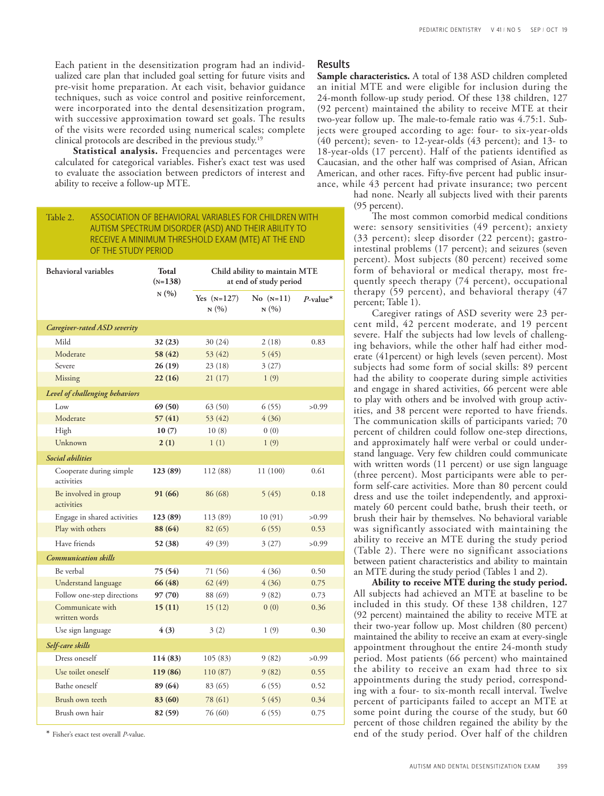Each patient in the desensitization program had an individualized care plan that included goal setting for future visits and pre-visit home preparation. At each visit, behavior guidance techniques, such as voice control and positive reinforcement, were incorporated into the dental desensitization program, with successive approximation toward set goals. The results of the visits were recorded using numerical scales; complete clinical protocols are described in the previous study.19

Statistical analysis. Frequencies and percentages were calculated for categorical variables. Fisher's exact test was used to evaluate the association between predictors of interest and ability to receive a follow-up MTE.

# Table 2. ASSOCIATION OF BEHAVIORAL VARIABLES FOR CHILDREN WITH AUTISM SPECTRUM DISORDER (ASD) AND THEIR ABILITY TO RECEIVE A MINIMUM THRESHOLD EXAM (MTE) AT THE END OF THE STUDY PERIOD

| <b>Behavioral variables</b>           | Total<br>$(N=138)$ | Child ability to maintain MTE<br>at end of study period |                     |                         |
|---------------------------------------|--------------------|---------------------------------------------------------|---------------------|-------------------------|
|                                       | N(%)               | Yes $(N=127)$<br>N(%)                                   | No $(N=11)$<br>N(%) | $P$ -value <sup>*</sup> |
| Caregiver-rated ASD severity          |                    |                                                         |                     |                         |
| Mild                                  | 32(23)             | 30 (24)                                                 | 2(18)               | 0.83                    |
| Moderate                              | 58 (42)            | 53 (42)                                                 | 5(45)               |                         |
| Severe                                | 26(19)             | 23(18)                                                  | 3(27)               |                         |
| Missing                               | 22(16)             | 21(17)                                                  | 1(9)                |                         |
| Level of challenging behaviors        |                    |                                                         |                     |                         |
| Low                                   | 69 (50)            | 63(50)                                                  | 6(55)               | >0.99                   |
| Moderate                              | 57(41)             | 53(42)                                                  | 4(36)               |                         |
| High                                  | 10(7)              | 10(8)                                                   | 0(0)                |                         |
| Unknown                               | 2(1)               | 1(1)                                                    | 1(9)                |                         |
| Social abilities                      |                    |                                                         |                     |                         |
| Cooperate during simple<br>activities | 123 (89)           | 112 (88)                                                | 11 (100)            | 0.61                    |
| Be involved in group<br>activities    | 91 (66)            | 86 (68)                                                 | 5(45)               | 0.18                    |
| Engage in shared activities           | 123 (89)           | 113 (89)                                                | 10(91)              | >0.99                   |
| Play with others                      | 88 (64)            | 82 (65)                                                 | 6(55)               | 0.53                    |
| Have friends                          | 52 (38)            | 49 (39)                                                 | 3(27)               | >0.99                   |
| <b>Communication skills</b>           |                    |                                                         |                     |                         |
| Be verbal                             | 75 (54)            | 71 (56)                                                 | 4(36)               | 0.50                    |
| Understand language                   | 66 (48)            | 62(49)                                                  | 4(36)               | 0.75                    |
| Follow one-step directions            | 97 (70)            | 88 (69)                                                 | 9(82)               | 0.73                    |
| Communicate with<br>written words     | 15(11)             | 15(12)                                                  | 0(0)                | 0.36                    |
| Use sign language                     | 4(3)               | 3(2)                                                    | 1(9)                | 0.30                    |
| Self-care skills                      |                    |                                                         |                     |                         |
| Dress oneself                         | 114 (83)           | 105(83)                                                 | 9(82)               | >0.99                   |
| Use toilet oneself                    | 119 (86)           | 110 (87)                                                | 9(82)               | 0.55                    |
| Bathe oneself                         | 89 (64)            | 83 (65)                                                 | 6(55)               | 0.52                    |
| Brush own teeth                       | 83 (60)            | 78 (61)                                                 | 5(45)               | 0.34                    |
| Brush own hair                        | 82 (59)            | 76 (60)                                                 | 6(55)               | 0.75                    |

\* Fisher's exact test overall *P*-value.

### Results

**Sample characteristics.** A total of 138 ASD children completed an initial MTE and were eligible for inclusion during the 24-month follow-up study period. Of these 138 children, 127 (92 percent) maintained the ability to receive MTE at their two-year follow up. The male-to-female ratio was 4.75:1. Subjects were grouped according to age: four- to six-year-olds (40 percent); seven- to 12-year-olds (43 percent); and 13- to 18-year-olds (17 percent). Half of the patients identified as Caucasian, and the other half was comprised of Asian, African American, and other races. Fifty-five percent had public insurance, while 43 percent had private insurance; two percent

had none. Nearly all subjects lived with their parents (95 percent).

The most common comorbid medical conditions were: sensory sensitivities (49 percent); anxiety (33 percent); sleep disorder (22 percent); gastrointestinal problems (17 percent); and seizures (seven percent). Most subjects (80 percent) received some form of behavioral or medical therapy, most frequently speech therapy (74 percent), occupational therapy (59 percent), and behavioral therapy (47 percent; Table 1).

Caregiver ratings of ASD severity were 23 percent mild, 42 percent moderate, and 19 percent severe. Half the subjects had low levels of challenging behaviors, while the other half had either moderate (41percent) or high levels (seven percent). Most subjects had some form of social skills: 89 percent had the ability to cooperate during simple activities and engage in shared activities, 66 percent were able to play with others and be involved with group activities, and 38 percent were reported to have friends. The communication skills of participants varied; 70 percent of children could follow one-step directions, and approximately half were verbal or could understand language. Very few children could communicate with written words (11 percent) or use sign language (three percent). Most participants were able to perform self-care activities. More than 80 percent could dress and use the toilet independently, and approximately 60 percent could bathe, brush their teeth, or brush their hair by themselves. No behavioral variable was significantly associated with maintaining the ability to receive an MTE during the study period (Table 2). There were no significant associations between patient characteristics and ability to maintain an MTE during the study period (Tables 1 and 2).

**Ability to receive MTE during the study period.**  All subjects had achieved an MTE at baseline to be included in this study. Of these 138 children, 127 (92 percent) maintained the ability to receive MTE at their two-year follow up. Most children (80 percent) maintained the ability to receive an exam at every-single appointment throughout the entire 24-month study period. Most patients (66 percent) who maintained the ability to receive an exam had three to six appointments during the study period, corresponding with a four- to six-month recall interval. Twelve percent of participants failed to accept an MTE at some point during the course of the study, but 60 percent of those children regained the ability by the end of the study period. Over half of the children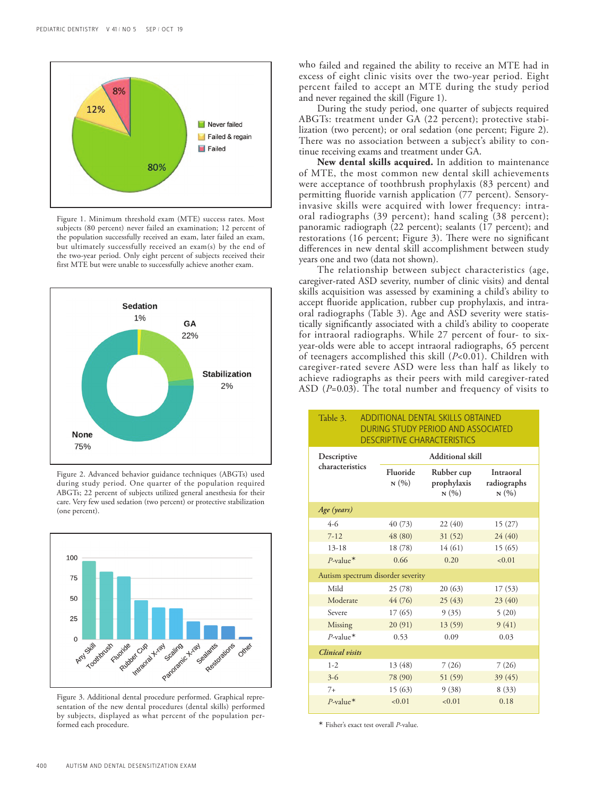

Figure 1. Minimum threshold exam (MTE) success rates. Most subjects (80 percent) never failed an examination; 12 percent of the population successfully received an exam, later failed an exam, but ultimately successfully received an exam(s) by the end of the two-year period. Only eight percent of subjects received their first MTE but were unable to successfully achieve another exam.



Figure 2. Advanced behavior guidance techniques (ABGTs) used during study period. One quarter of the population required ABGTs; 22 percent of subjects utilized general anesthesia for their care. Very few used sedation (two percent) or protective stabilization (one percent).



Figure 3. Additional dental procedure performed. Graphical representation of the new dental procedures (dental skills) performed by subjects, displayed as what percent of the population performed each procedure.

who failed and regained the ability to receive an MTE had in excess of eight clinic visits over the two-year period. Eight percent failed to accept an MTE during the study period and never regained the skill (Figure 1).

During the study period, one quarter of subjects required ABGTs: treatment under GA (22 percent); protective stabilization (two percent); or oral sedation (one percent; Figure 2). There was no association between a subject's ability to continue receiving exams and treatment under GA.

**New dental skills acquired.** In addition to maintenance of MTE, the most common new dental skill achievements were acceptance of toothbrush prophylaxis (83 percent) and permitting fluoride varnish application (77 percent). Sensoryinvasive skills were acquired with lower frequency: intraoral radiographs (39 percent); hand scaling (38 percent); panoramic radiograph (22 percent); sealants (17 percent); and restorations (16 percent; Figure 3). There were no significant differences in new dental skill accomplishment between study years one and two (data not shown).

The relationship between subject characteristics (age, caregiver-rated ASD severity, number of clinic visits) and dental skills acquisition was assessed by examining a child's ability to accept fluoride application, rubber cup prophylaxis, and intraoral radiographs (Table 3). Age and ASD severity were statistically significantly associated with a child's ability to cooperate for intraoral radiographs. While 27 percent of four- to sixyear-olds were able to accept intraoral radiographs, 65 percent of teenagers accomplished this skill (*P*<0.01). Children with caregiver-rated severe ASD were less than half as likely to achieve radiographs as their peers with mild caregiver-rated ASD (*P*=0.03). The total number and frequency of visits to

Table 3. ADDITIONAL DENTAL SKILLS OBTAINED

| DURING STUDY PERIOD AND ASSOCIATED<br><b>DESCRIPTIVE CHARACTERISTICS</b> |                                   |                                   |                                  |  |  |  |
|--------------------------------------------------------------------------|-----------------------------------|-----------------------------------|----------------------------------|--|--|--|
| Descriptive<br>characteristics                                           | Additional skill                  |                                   |                                  |  |  |  |
|                                                                          | Fluoride<br>N(%)                  | Rubber cup<br>prophylaxis<br>N(%) | Intraoral<br>radiographs<br>N(%) |  |  |  |
| Age (years)                                                              |                                   |                                   |                                  |  |  |  |
| $4-6$                                                                    | 40 (73)                           | 22(40)                            | 15(27)                           |  |  |  |
| $7 - 12$                                                                 | 48 (80)                           | 31(52)                            | 24(40)                           |  |  |  |
| $13 - 18$                                                                | 18 (78)                           | 14(61)                            | 15(65)                           |  |  |  |
| $P$ -value*                                                              | 0.66                              | 0.20                              | < 0.01                           |  |  |  |
|                                                                          | Autism spectrum disorder severity |                                   |                                  |  |  |  |
| Mild                                                                     | 25(78)                            | 20(63)                            | 17(53)                           |  |  |  |
| Moderate                                                                 | 44 (76)                           | 25(43)                            | 23(40)                           |  |  |  |
| Severe                                                                   | 17(65)                            | 9(35)                             | 5(20)                            |  |  |  |
| Missing                                                                  | 20(91)                            | 13 (59)                           | 9(41)                            |  |  |  |
| $P$ -value*                                                              | 0.53                              | 0.09                              | 0.03                             |  |  |  |
| <b>Clinical</b> visits                                                   |                                   |                                   |                                  |  |  |  |
| $1 - 2$                                                                  | 13 (48)                           | 7(26)                             | 7(26)                            |  |  |  |
| $3-6$                                                                    | 78 (90)                           | 51 (59)                           | 39 (45)                          |  |  |  |
| $7+$                                                                     | 15(63)                            | 9(38)                             | 8(33)                            |  |  |  |
| $P$ -value*                                                              | < 0.01                            | < 0.01                            | 0.18                             |  |  |  |

\* Fisher's exact test overall *P*-value.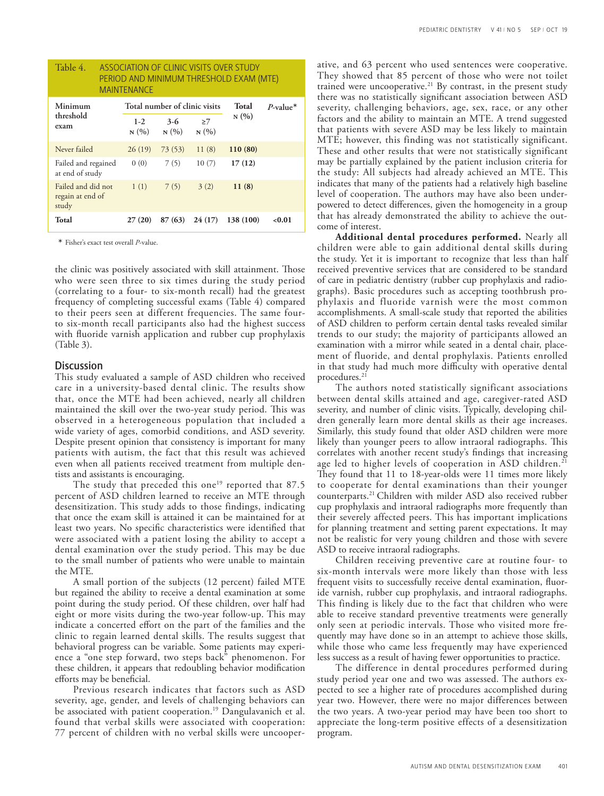| Table 4.<br>ASSOCIATION OF CLINIC VISITS OVER STUDY<br>PERIOD AND MINIMUM THRESHOLD EXAM (MTE)<br><b>MAINTENANCE</b> |                  |                               |                   |           |                         |
|----------------------------------------------------------------------------------------------------------------------|------------------|-------------------------------|-------------------|-----------|-------------------------|
| Minimum<br>threshold<br>exam                                                                                         |                  | Total number of clinic visits |                   |           | $P$ -value <sup>*</sup> |
|                                                                                                                      | $1 - 2$<br>N(96) | $3-6$<br>N(96)                | $\geq$ 7<br>N(96) | N(96)     |                         |
| Never failed                                                                                                         | 26(19)           | 73(53)                        | 11(8)             | 110 (80)  |                         |
| Failed and regained<br>at end of study                                                                               | 0(0)             | 7(5)                          | 10(7)             | 17(12)    |                         |
| Failed and did not<br>regain at end of<br>study                                                                      | 1(1)             | 7(5)                          | 3(2)              | 11(8)     |                         |
| Total                                                                                                                | 27(20)           | 87(63)                        | 24(17)            | 138 (100) | < 0.01                  |

\* Fisher's exact test overall *P*-value.

the clinic was positively associated with skill attainment. Those who were seen three to six times during the study period (correlating to a four- to six-month recall) had the greatest frequency of completing successful exams (Table 4) compared to their peers seen at different frequencies. The same fourto six-month recall participants also had the highest success with fluoride varnish application and rubber cup prophylaxis (Table 3).

#### **Discussion**

This study evaluated a sample of ASD children who received care in a university-based dental clinic. The results show that, once the MTE had been achieved, nearly all children maintained the skill over the two-year study period. This was observed in a heterogeneous population that included a wide variety of ages, comorbid conditions, and ASD severity. Despite present opinion that consistency is important for many patients with autism, the fact that this result was achieved even when all patients received treatment from multiple dentists and assistants is encouraging.

The study that preceded this one<sup>19</sup> reported that  $87.5$ percent of ASD children learned to receive an MTE through desensitization. This study adds to those findings, indicating that once the exam skill is attained it can be maintained for at least two years. No specific characteristics were identified that were associated with a patient losing the ability to accept a dental examination over the study period. This may be due to the small number of patients who were unable to maintain the MTE.

A small portion of the subjects (12 percent) failed MTE but regained the ability to receive a dental examination at some point during the study period. Of these children, over half had eight or more visits during the two-year follow-up. This may indicate a concerted effort on the part of the families and the clinic to regain learned dental skills. The results suggest that behavioral progress can be variable. Some patients may experience a "one step forward, two steps back" phenomenon. For these children, it appears that redoubling behavior modification efforts may be beneficial.

Previous research indicates that factors such as ASD severity, age, gender, and levels of challenging behaviors can be associated with patient cooperation.<sup>19</sup> Dangulavanich et al. found that verbal skills were associated with cooperation: 77 percent of children with no verbal skills were uncooperative, and 63 percent who used sentences were cooperative. They showed that 85 percent of those who were not toilet trained were uncooperative.<sup>21</sup> By contrast, in the present study there was no statistically significant association between ASD severity, challenging behaviors, age, sex, race, or any other factors and the ability to maintain an MTE. A trend suggested that patients with severe ASD may be less likely to maintain MTE; however, this finding was not statistically significant. These and other results that were not statistically significant may be partially explained by the patient inclusion criteria for the study: All subjects had already achieved an MTE. This indicates that many of the patients had a relatively high baseline level of cooperation. The authors may have also been underpowered to detect differences, given the homogeneity in a group that has already demonstrated the ability to achieve the outcome of interest.

**Additional dental procedures performed.** Nearly all children were able to gain additional dental skills during the study. Yet it is important to recognize that less than half received preventive services that are considered to be standard of care in pediatric dentistry (rubber cup prophylaxis and radiographs). Basic procedures such as accepting toothbrush prophylaxis and fluoride varnish were the most common accomplishments. A small-scale study that reported the abilities of ASD children to perform certain dental tasks revealed similar trends to our study; the majority of participants allowed an examination with a mirror while seated in a dental chair, placement of fluoride, and dental prophylaxis. Patients enrolled in that study had much more difficulty with operative dental procedures.<sup>21</sup>

The authors noted statistically significant associations between dental skills attained and age, caregiver-rated ASD severity, and number of clinic visits. Typically, developing children generally learn more dental skills as their age increases. Similarly, this study found that older ASD children were more likely than younger peers to allow intraoral radiographs. This correlates with another recent study's findings that increasing age led to higher levels of cooperation in ASD children.<sup>21</sup> They found that 11 to 18-year-olds were 11 times more likely to cooperate for dental examinations than their younger counterparts.21 Children with milder ASD also received rubber cup prophylaxis and intraoral radiographs more frequently than their severely affected peers. This has important implications for planning treatment and setting parent expectations. It may not be realistic for very young children and those with severe ASD to receive intraoral radiographs.

Children receiving preventive care at routine four- to six-month intervals were more likely than those with less frequent visits to successfully receive dental examination, fluoride varnish, rubber cup prophylaxis, and intraoral radiographs. This finding is likely due to the fact that children who were able to receive standard preventive treatments were generally only seen at periodic intervals. Those who visited more frequently may have done so in an attempt to achieve those skills, while those who came less frequently may have experienced less success as a result of having fewer opportunities to practice.

The difference in dental procedures performed during study period year one and two was assessed. The authors expected to see a higher rate of procedures accomplished during year two. However, there were no major differences between the two years. A two-year period may have been too short to appreciate the long-term positive effects of a desensitization program.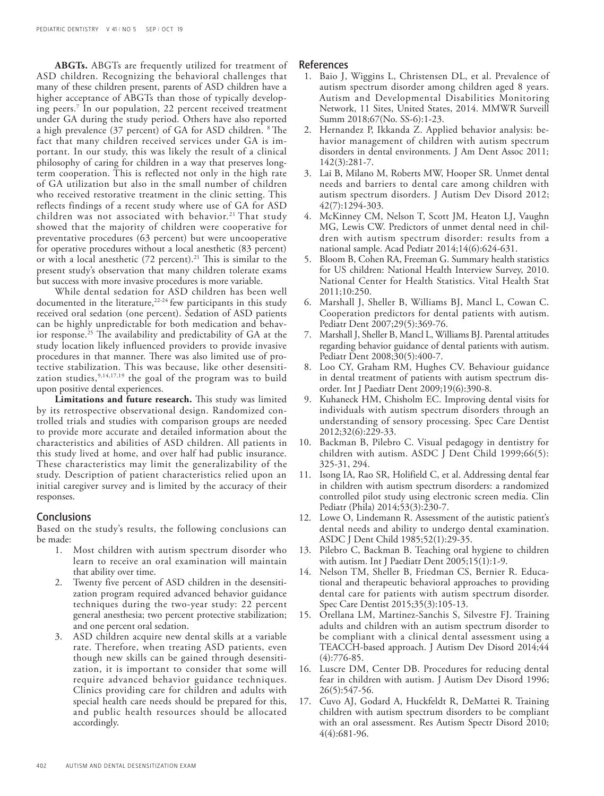**ABGTs.** ABGTs are frequently utilized for treatment of ASD children. Recognizing the behavioral challenges that many of these children present, parents of ASD children have a higher acceptance of ABGTs than those of typically developing peers.7 In our population, 22 percent received treatment under GA during the study period. Others have also reported a high prevalence (37 percent) of GA for ASD children. 8 The fact that many children received services under GA is important. In our study, this was likely the result of a clinical philosophy of caring for children in a way that preserves longterm cooperation. This is reflected not only in the high rate of GA utilization but also in the small number of children who received restorative treatment in the clinic setting. This reflects findings of a recent study where use of GA for ASD children was not associated with behavior.<sup>21</sup> That study showed that the majority of children were cooperative for preventative procedures (63 percent) but were uncooperative for operative procedures without a local anesthetic (83 percent) or with a local anesthetic (72 percent).21 This is similar to the present study's observation that many children tolerate exams but success with more invasive procedures is more variable.

While dental sedation for ASD children has been well documented in the literature,<sup>22-24</sup> few participants in this study received oral sedation (one percent). Sedation of ASD patients can be highly unpredictable for both medication and behavior response.<sup>25</sup> The availability and predictability of GA at the study location likely influenced providers to provide invasive procedures in that manner. There was also limited use of protective stabilization. This was because, like other desensitization studies, 9,14,17,19 the goal of the program was to build upon positive dental experiences.

**Limitations and future research.** This study was limited by its retrospective observational design. Randomized controlled trials and studies with comparison groups are needed to provide more accurate and detailed information about the characteristics and abilities of ASD children. All patients in this study lived at home, and over half had public insurance. These characteristics may limit the generalizability of the study. Description of patient characteristics relied upon an initial caregiver survey and is limited by the accuracy of their responses.

## **Conclusions**

Based on the study's results, the following conclusions can be made:

- 1. Most children with autism spectrum disorder who learn to receive an oral examination will maintain that ability over time.
- 2. Twenty five percent of ASD children in the desensitization program required advanced behavior guidance techniques during the two-year study: 22 percent general anesthesia; two percent protective stabilization; and one percent oral sedation.
- 3. ASD children acquire new dental skills at a variable rate. Therefore, when treating ASD patients, even though new skills can be gained through desensitization, it is important to consider that some will require advanced behavior guidance techniques. Clinics providing care for children and adults with special health care needs should be prepared for this, and public health resources should be allocated accordingly.

#### References

- 1. Baio J, Wiggins L, Christensen DL, et al. Prevalence of autism spectrum disorder among children aged 8 years. Autism and Developmental Disabilities Monitoring Network, 11 Sites, United States, 2014. MMWR Surveill Summ 2018;67(No. SS-6):1-23.
- 2. Hernandez P, Ikkanda Z. Applied behavior analysis: behavior management of children with autism spectrum disorders in dental environments. J Am Dent Assoc 2011; 142(3):281-7.
- 3. Lai B, Milano M, Roberts MW, Hooper SR. Unmet dental needs and barriers to dental care among children with autism spectrum disorders. J Autism Dev Disord 2012; 42(7):1294-303.
- 4. McKinney CM, Nelson T, Scott JM, Heaton LJ, Vaughn MG, Lewis CW. Predictors of unmet dental need in children with autism spectrum disorder: results from a national sample. Acad Pediatr 2014;14(6):624-631.
- 5. Bloom B, Cohen RA, Freeman G. Summary health statistics for US children: National Health Interview Survey, 2010. National Center for Health Statistics. Vital Health Stat 2011;10:250.
- 6. Marshall J, Sheller B, Williams BJ, Mancl L, Cowan C. Cooperation predictors for dental patients with autism. Pediatr Dent 2007;29(5):369-76.
- 7. Marshall J, Sheller B, Mancl L, Williams BJ. Parental attitudes regarding behavior guidance of dental patients with autism. Pediatr Dent 2008;30(5):400-7.
- 8. Loo CY, Graham RM, Hughes CV. Behaviour guidance in dental treatment of patients with autism spectrum disorder. Int J Paediatr Dent 2009;19(6):390-8.
- 9. Kuhaneck HM, Chisholm EC. Improving dental visits for individuals with autism spectrum disorders through an understanding of sensory processing. Spec Care Dentist 2012;32(6):229-33.
- 10. Backman B, Pilebro C. Visual pedagogy in dentistry for children with autism. ASDC J Dent Child 1999;66(5): 325-31, 294.
- 11. Isong IA, Rao SR, Holifield C, et al. Addressing dental fear in children with autism spectrum disorders: a randomized controlled pilot study using electronic screen media. Clin Pediatr (Phila) 2014;53(3):230-7.
- 12. Lowe O, Lindemann R. Assessment of the autistic patient's dental needs and ability to undergo dental examination. ASDC J Dent Child 1985;52(1):29-35.
- 13. Pilebro C, Backman B. Teaching oral hygiene to children with autism. Int J Paediatr Dent 2005;15(1):1-9.
- 14. Nelson TM, Sheller B, Friedman CS, Bernier R. Educational and therapeutic behavioral approaches to providing dental care for patients with autism spectrum disorder. Spec Care Dentist 2015;35(3):105-13.
- 15. Orellana LM, Martinez-Sanchis S, Silvestre FJ. Training adults and children with an autism spectrum disorder to be compliant with a clinical dental assessment using a TEACCH-based approach. J Autism Dev Disord 2014;44 (4):776-85.
- 16. Luscre DM, Center DB. Procedures for reducing dental fear in children with autism. J Autism Dev Disord 1996; 26(5):547-56.
- 17. Cuvo AJ, Godard A, Huckfeldt R, DeMattei R. Training children with autism spectrum disorders to be compliant with an oral assessment. Res Autism Spectr Disord 2010; 4(4):681-96.